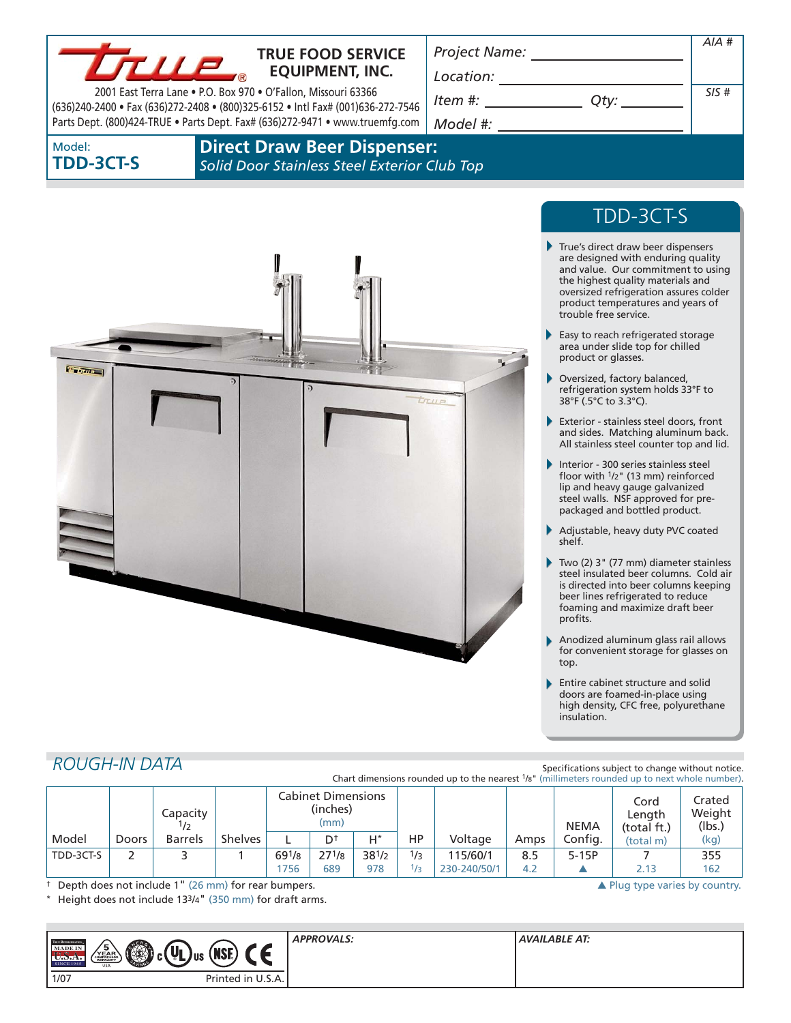

## **TRUE FOOD SERVICE EQUIPMENT, INC.**

2001 East Terra Lane • P.O. Box 970 • O'Fallon, Missouri 63366 (636)240-2400 • Fax (636)272-2408 • (800)325-6152 • Intl Fax# (001)636-272-7546 Parts Dept. (800)424-TRUE • Parts Dept. Fax# (636)272-9471 • www.truemfg.com *Location: Item #: Qty:*

*Project Name:*

*SIS #*

*AIA #*

*Model #:* 

Model: **TDD-3CT-S**

**Direct Draw Beer Dispenser:**  *Solid Door Stainless Steel Exterior Club Top*



# TDD-3CT-S

- ь True's direct draw beer dispensers are designed with enduring quality and value. Our commitment to using the highest quality materials and oversized refrigeration assures colder product temperatures and years of trouble free service.
- Easy to reach refrigerated storage area under slide top for chilled product or glasses.
- Oversized, factory balanced, refrigeration system holds 33°F to 38°F (.5°C to 3.3°C).
- Exterior stainless steel doors, front and sides. Matching aluminum back. All stainless steel counter top and lid.
- Interior 300 series stainless steel floor with  $1/2$ " (13 mm) reinforced lip and heavy gauge galvanized steel walls. NSF approved for prepackaged and bottled product.
- Adjustable, heavy duty PVC coated shelf.
- Two (2) 3" (77 mm) diameter stainless steel insulated beer columns. Cold air is directed into beer columns keeping beer lines refrigerated to reduce foaming and maximize draft beer profits.
- Anodized aluminum glass rail allows for convenient storage for glasses on top.
- Entire cabinet structure and solid doors are foamed-in-place using high density, CFC free, polyurethane insulation.

## *ROUGH-IN DATA*

Specifications subject to change without notice. Chart dimensions rounded up to the nearest  $1/s$ " (millimeters rounded up to next whole num

|           |              | Capacity<br>1/2 |                | <b>Cabinet Dimensions</b><br>(inches)<br>(mm) |            |            |     |              | <b>NEMA</b> | Cord<br>Length<br>(total ft.) | Crated<br>Weight<br>(lbs.) |      |
|-----------|--------------|-----------------|----------------|-----------------------------------------------|------------|------------|-----|--------------|-------------|-------------------------------|----------------------------|------|
| Model     | <b>Doors</b> | <b>Barrels</b>  | <b>Shelves</b> |                                               | Dt         | $H^*$      | ΗP  | Voltage      | Amps        | Config.                       | (total m)                  | (kg) |
| TDD-3CT-S |              |                 |                | $69^{1/8}$                                    | $27^{1/8}$ | $38^{1/2}$ | 1/3 | 115/60/1     | 8.5         | $5-15P$                       |                            | 355  |
|           |              |                 |                | 1756                                          | 689        | 978        | 75  | 230-240/50/1 | 4.2         |                               | 2.13                       | 162  |

† Depth does not include 1" (26 mm) for rear bumpers. 
→ Plug type varies by country.

Height does not include 133/4" (350 mm) for draft arms.

| TRUE REFRIGERATION<br>MADE IN<br><b>SINCE 1945</b> | $\overline{u}$<br>$\sqrt{\frac{5}{\substack{Y E A R \hbox{\scriptsize{cumber}}\hbox{\scriptsize{S}}}$<br><b>CERT</b><br>(NSE)<br>'L Jus<br><b>USA</b> | <b>APPROVALS:</b> | <b>AVAILABLE AT:</b> |
|----------------------------------------------------|-------------------------------------------------------------------------------------------------------------------------------------------------------|-------------------|----------------------|
| 1/07                                               | Printed in U.S.A.                                                                                                                                     |                   |                      |